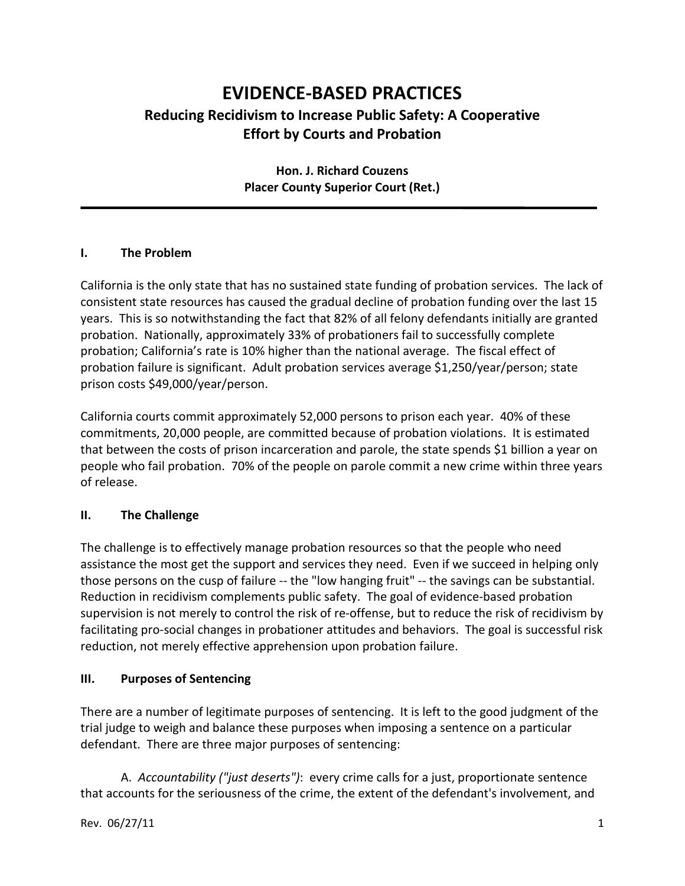# **EVIDENCE-BASED PRACTICES Reducing Recidivism to Increase Public Safety: A Cooperative Effort by Courts and Probation**

# **Hon. J. Richard Couzens Placer County Superior Court (Ret.)**

#### **I. The Problem**

California is the only state that has no sustained state funding of probation services. The lack of consistent state resources has caused the gradual decline of probation funding over the last 15 years. This is so notwithstanding the fact that 82% of all felony defendants initially are granted probation. Nationally, approximately 33% of probationers fail to successfully complete probation; California's rate is 10% higher than the national average. The fiscal effect of probation failure is significant. Adult probation services average \$1,250/year/person; state prison costs \$49,000/year/person.

California courts commit approximately 52,000 persons to prison each year. 40% of these commitments, 20,000 people, are committed because of probation violations. It is estimated that between the costs of prison incarceration and parole, the state spends \$1 billion a year on people who fail probation. 70% of the people on parole commit a new crime within three years of release.

#### **II. The Challenge**

The challenge is to effectively manage probation resources so that the people who need assistance the most get the support and services they need. Even if we succeed in helping only those persons on the cusp of failure -- the "low hanging fruit" -- the savings can be substantial. Reduction in recidivism complements public safety. The goal of evidence-based probation supervision is not merely to control the risk of re-offense, but to reduce the risk of recidivism by facilitating pro-social changes in probationer attitudes and behaviors. The goal is successful risk reduction, not merely effective apprehension upon probation failure.

## **III. Purposes of Sentencing**

There are a number of legitimate purposes of sentencing. It is left to the good judgment of the trial judge to weigh and balance these purposes when imposing a sentence on a particular defendant. There are three major purposes of sentencing:

A. *Accountability ("just deserts")*: every crime calls for a just, proportionate sentence that accounts for the seriousness of the crime, the extent of the defendant's involvement, and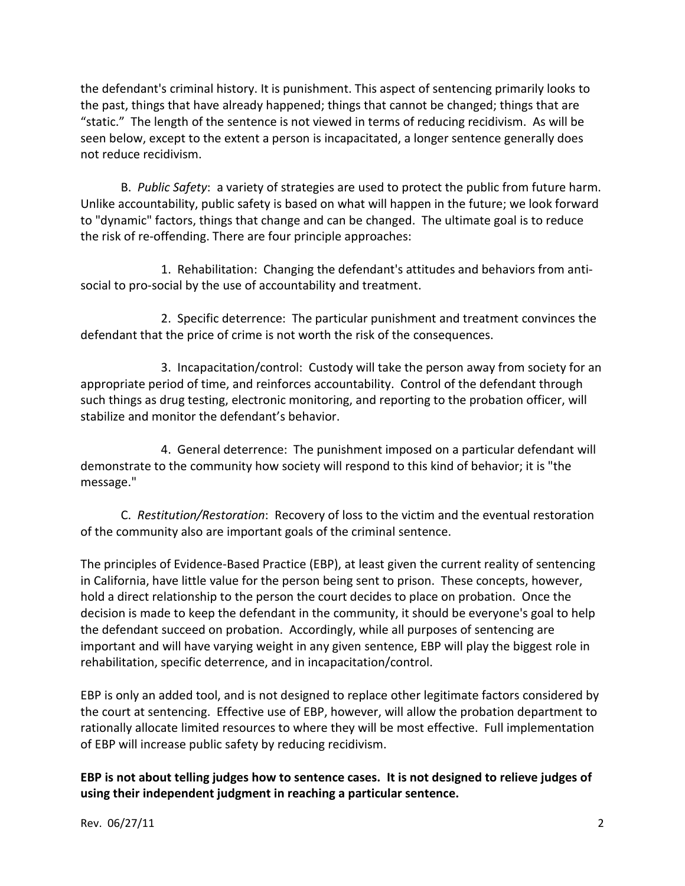the defendant's criminal history. It is punishment. This aspect of sentencing primarily looks to the past, things that have already happened; things that cannot be changed; things that are "static." The length of the sentence is not viewed in terms of reducing recidivism. As will be seen below, except to the extent a person is incapacitated, a longer sentence generally does not reduce recidivism.

B. *Public Safety*: a variety of strategies are used to protect the public from future harm. Unlike accountability, public safety is based on what will happen in the future; we look forward to "dynamic" factors, things that change and can be changed. The ultimate goal is to reduce the risk of re-offending. There are four principle approaches:

1. Rehabilitation: Changing the defendant's attitudes and behaviors from antisocial to pro-social by the use of accountability and treatment.

2. Specific deterrence: The particular punishment and treatment convinces the defendant that the price of crime is not worth the risk of the consequences.

3. Incapacitation/control: Custody will take the person away from society for an appropriate period of time, and reinforces accountability. Control of the defendant through such things as drug testing, electronic monitoring, and reporting to the probation officer, will stabilize and monitor the defendant's behavior.

4. General deterrence: The punishment imposed on a particular defendant will demonstrate to the community how society will respond to this kind of behavior; it is "the message."

C. *Restitution/Restoration*: Recovery of loss to the victim and the eventual restoration of the community also are important goals of the criminal sentence.

The principles of Evidence-Based Practice (EBP), at least given the current reality of sentencing in California, have little value for the person being sent to prison. These concepts, however, hold a direct relationship to the person the court decides to place on probation. Once the decision is made to keep the defendant in the community, it should be everyone's goal to help the defendant succeed on probation. Accordingly, while all purposes of sentencing are important and will have varying weight in any given sentence, EBP will play the biggest role in rehabilitation, specific deterrence, and in incapacitation/control.

EBP is only an added tool, and is not designed to replace other legitimate factors considered by the court at sentencing. Effective use of EBP, however, will allow the probation department to rationally allocate limited resources to where they will be most effective. Full implementation of EBP will increase public safety by reducing recidivism.

**EBP is not about telling judges how to sentence cases. It is not designed to relieve judges of using their independent judgment in reaching a particular sentence.**

Rev. 06/27/11 2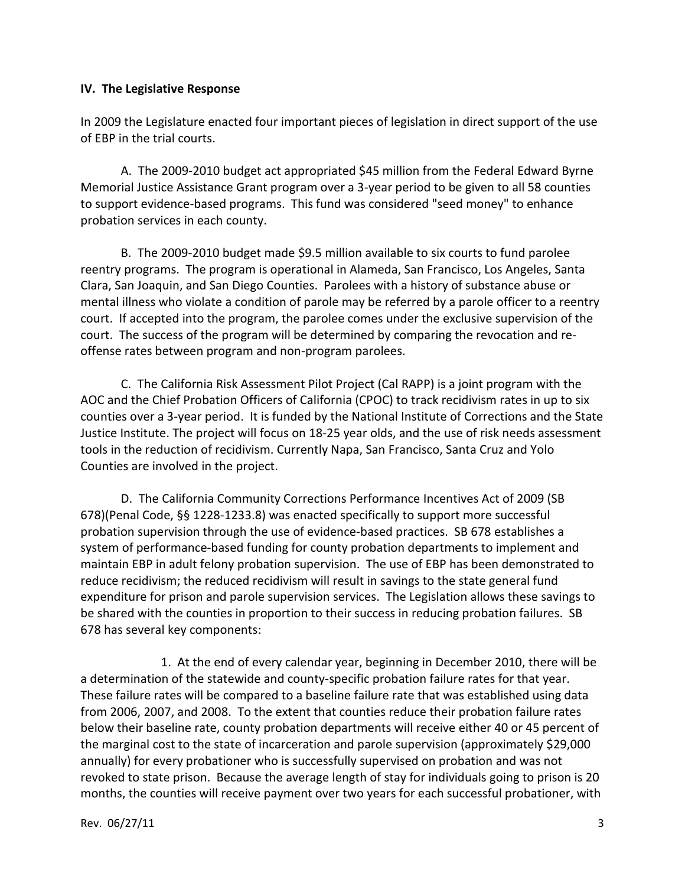#### **IV. The Legislative Response**

In 2009 the Legislature enacted four important pieces of legislation in direct support of the use of EBP in the trial courts.

A. The 2009-2010 budget act appropriated \$45 million from the Federal Edward Byrne Memorial Justice Assistance Grant program over a 3-year period to be given to all 58 counties to support evidence-based programs. This fund was considered "seed money" to enhance probation services in each county.

B. The 2009-2010 budget made \$9.5 million available to six courts to fund parolee reentry programs. The program is operational in Alameda, San Francisco, Los Angeles, Santa Clara, San Joaquin, and San Diego Counties. Parolees with a history of substance abuse or mental illness who violate a condition of parole may be referred by a parole officer to a reentry court. If accepted into the program, the parolee comes under the exclusive supervision of the court. The success of the program will be determined by comparing the revocation and reoffense rates between program and non-program parolees.

C. The California Risk Assessment Pilot Project (Cal RAPP) is a joint program with the AOC and the Chief Probation Officers of California (CPOC) to track recidivism rates in up to six counties over a 3-year period. It is funded by the National Institute of Corrections and the State Justice Institute. The project will focus on 18-25 year olds, and the use of risk needs assessment tools in the reduction of recidivism. Currently Napa, San Francisco, Santa Cruz and Yolo Counties are involved in the project.

D. The California Community Corrections Performance Incentives Act of 2009 (SB 678)(Penal Code, §§ 1228-1233.8) was enacted specifically to support more successful probation supervision through the use of evidence-based practices. SB 678 establishes a system of performance-based funding for county probation departments to implement and maintain EBP in adult felony probation supervision. The use of EBP has been demonstrated to reduce recidivism; the reduced recidivism will result in savings to the state general fund expenditure for prison and parole supervision services. The Legislation allows these savings to be shared with the counties in proportion to their success in reducing probation failures. SB 678 has several key components:

1. At the end of every calendar year, beginning in December 2010, there will be a determination of the statewide and county-specific probation failure rates for that year. These failure rates will be compared to a baseline failure rate that was established using data from 2006, 2007, and 2008. To the extent that counties reduce their probation failure rates below their baseline rate, county probation departments will receive either 40 or 45 percent of the marginal cost to the state of incarceration and parole supervision (approximately \$29,000 annually) for every probationer who is successfully supervised on probation and was not revoked to state prison. Because the average length of stay for individuals going to prison is 20 months, the counties will receive payment over two years for each successful probationer, with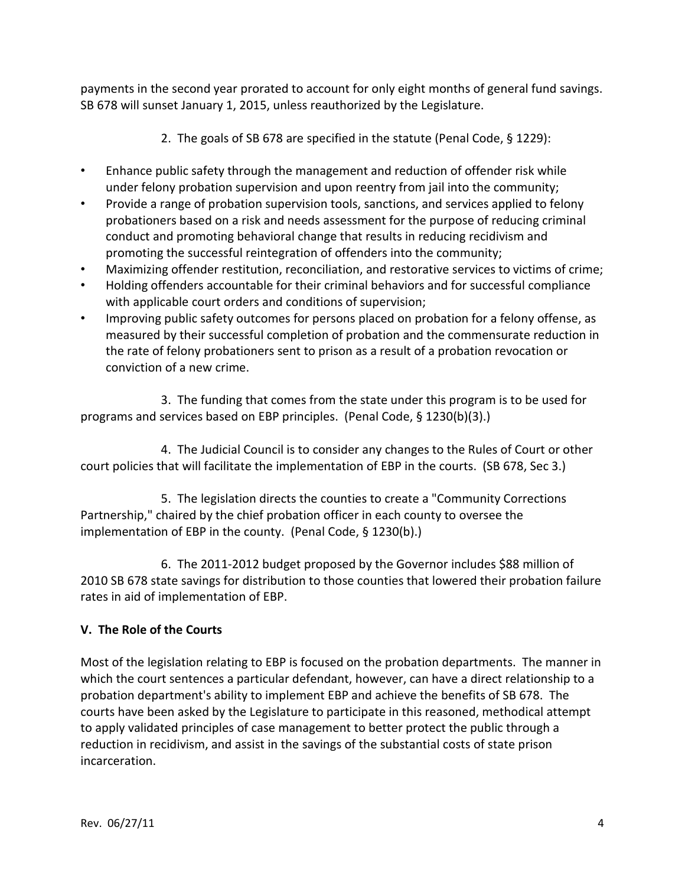payments in the second year prorated to account for only eight months of general fund savings. SB 678 will sunset January 1, 2015, unless reauthorized by the Legislature.

- 2. The goals of SB 678 are specified in the statute (Penal Code, § 1229):
- Enhance public safety through the management and reduction of offender risk while under felony probation supervision and upon reentry from jail into the community;
- Provide a range of probation supervision tools, sanctions, and services applied to felony probationers based on a risk and needs assessment for the purpose of reducing criminal conduct and promoting behavioral change that results in reducing recidivism and promoting the successful reintegration of offenders into the community;
- Maximizing offender restitution, reconciliation, and restorative services to victims of crime;
- Holding offenders accountable for their criminal behaviors and for successful compliance with applicable court orders and conditions of supervision;
- Improving public safety outcomes for persons placed on probation for a felony offense, as measured by their successful completion of probation and the commensurate reduction in the rate of felony probationers sent to prison as a result of a probation revocation or conviction of a new crime.

3. The funding that comes from the state under this program is to be used for programs and services based on EBP principles. (Penal Code, § 1230(b)(3).)

4. The Judicial Council is to consider any changes to the Rules of Court or other court policies that will facilitate the implementation of EBP in the courts. (SB 678, Sec 3.)

5. The legislation directs the counties to create a "Community Corrections Partnership," chaired by the chief probation officer in each county to oversee the implementation of EBP in the county. (Penal Code, § 1230(b).)

6. The 2011-2012 budget proposed by the Governor includes \$88 million of 2010 SB 678 state savings for distribution to those counties that lowered their probation failure rates in aid of implementation of EBP.

# **V. The Role of the Courts**

Most of the legislation relating to EBP is focused on the probation departments. The manner in which the court sentences a particular defendant, however, can have a direct relationship to a probation department's ability to implement EBP and achieve the benefits of SB 678. The courts have been asked by the Legislature to participate in this reasoned, methodical attempt to apply validated principles of case management to better protect the public through a reduction in recidivism, and assist in the savings of the substantial costs of state prison incarceration.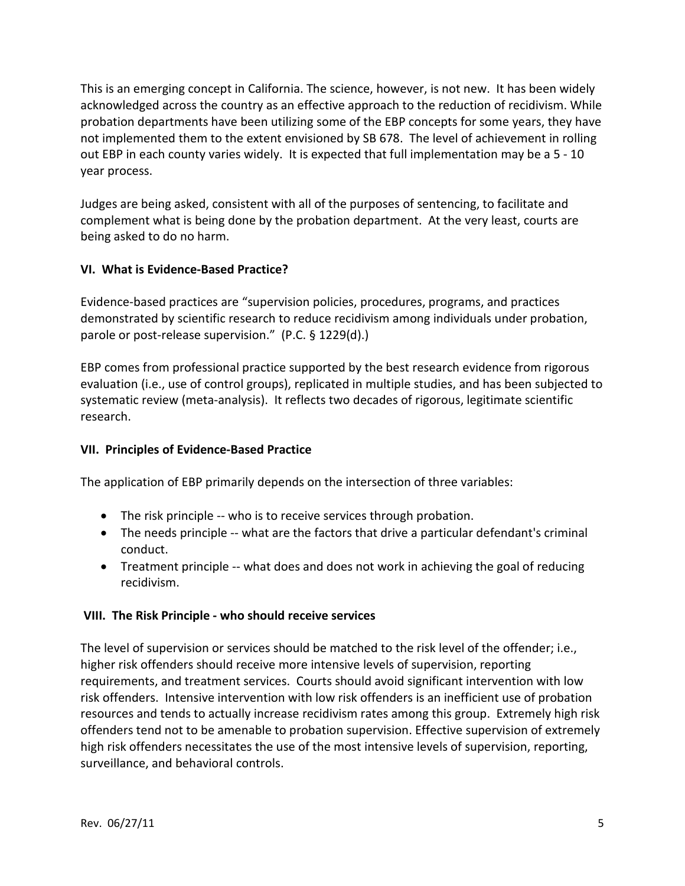This is an emerging concept in California. The science, however, is not new. It has been widely acknowledged across the country as an effective approach to the reduction of recidivism. While probation departments have been utilizing some of the EBP concepts for some years, they have not implemented them to the extent envisioned by SB 678. The level of achievement in rolling out EBP in each county varies widely. It is expected that full implementation may be a 5 - 10 year process.

Judges are being asked, consistent with all of the purposes of sentencing, to facilitate and complement what is being done by the probation department. At the very least, courts are being asked to do no harm.

## **VI. What is Evidence-Based Practice?**

Evidence-based practices are "supervision policies, procedures, programs, and practices demonstrated by scientific research to reduce recidivism among individuals under probation, parole or post-release supervision." (P.C. § 1229(d).)

EBP comes from professional practice supported by the best research evidence from rigorous evaluation (i.e., use of control groups), replicated in multiple studies, and has been subjected to systematic review (meta-analysis). It reflects two decades of rigorous, legitimate scientific research.

# **VII. Principles of Evidence-Based Practice**

The application of EBP primarily depends on the intersection of three variables:

- The risk principle -- who is to receive services through probation.
- The needs principle -- what are the factors that drive a particular defendant's criminal conduct.
- Treatment principle -- what does and does not work in achieving the goal of reducing recidivism.

## **VIII. The Risk Principle - who should receive services**

The level of supervision or services should be matched to the risk level of the offender; i.e., higher risk offenders should receive more intensive levels of supervision, reporting requirements, and treatment services. Courts should avoid significant intervention with low risk offenders. Intensive intervention with low risk offenders is an inefficient use of probation resources and tends to actually increase recidivism rates among this group. Extremely high risk offenders tend not to be amenable to probation supervision. Effective supervision of extremely high risk offenders necessitates the use of the most intensive levels of supervision, reporting, surveillance, and behavioral controls.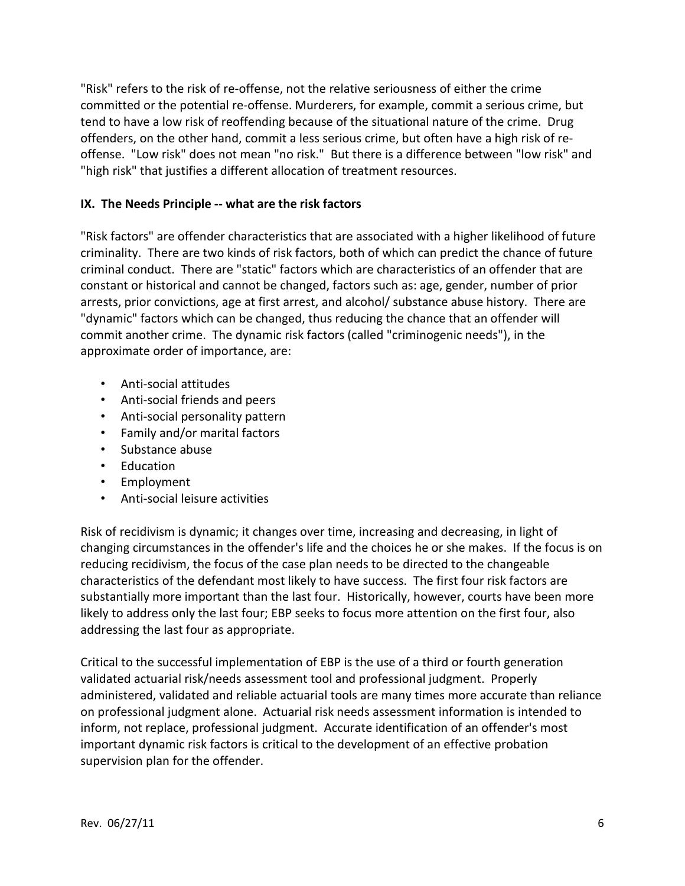"Risk" refers to the risk of re-offense, not the relative seriousness of either the crime committed or the potential re-offense. Murderers, for example, commit a serious crime, but tend to have a low risk of reoffending because of the situational nature of the crime. Drug offenders, on the other hand, commit a less serious crime, but often have a high risk of reoffense. "Low risk" does not mean "no risk." But there is a difference between "low risk" and "high risk" that justifies a different allocation of treatment resources.

#### **IX. The Needs Principle -- what are the risk factors**

"Risk factors" are offender characteristics that are associated with a higher likelihood of future criminality. There are two kinds of risk factors, both of which can predict the chance of future criminal conduct. There are "static" factors which are characteristics of an offender that are constant or historical and cannot be changed, factors such as: age, gender, number of prior arrests, prior convictions, age at first arrest, and alcohol/ substance abuse history. There are "dynamic" factors which can be changed, thus reducing the chance that an offender will commit another crime. The dynamic risk factors (called "criminogenic needs"), in the approximate order of importance, are:

- Anti-social attitudes
- Anti-social friends and peers
- Anti-social personality pattern
- Family and/or marital factors
- Substance abuse
- Education
- Employment
- Anti-social leisure activities

Risk of recidivism is dynamic; it changes over time, increasing and decreasing, in light of changing circumstances in the offender's life and the choices he or she makes. If the focus is on reducing recidivism, the focus of the case plan needs to be directed to the changeable characteristics of the defendant most likely to have success. The first four risk factors are substantially more important than the last four. Historically, however, courts have been more likely to address only the last four; EBP seeks to focus more attention on the first four, also addressing the last four as appropriate.

Critical to the successful implementation of EBP is the use of a third or fourth generation validated actuarial risk/needs assessment tool and professional judgment. Properly administered, validated and reliable actuarial tools are many times more accurate than reliance on professional judgment alone. Actuarial risk needs assessment information is intended to inform, not replace, professional judgment. Accurate identification of an offender's most important dynamic risk factors is critical to the development of an effective probation supervision plan for the offender.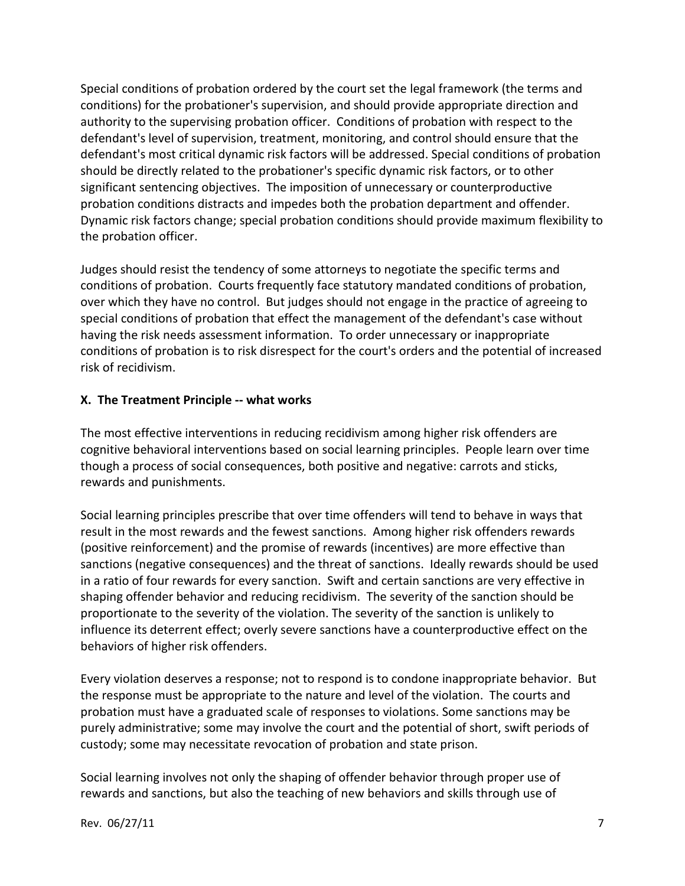Special conditions of probation ordered by the court set the legal framework (the terms and conditions) for the probationer's supervision, and should provide appropriate direction and authority to the supervising probation officer. Conditions of probation with respect to the defendant's level of supervision, treatment, monitoring, and control should ensure that the defendant's most critical dynamic risk factors will be addressed. Special conditions of probation should be directly related to the probationer's specific dynamic risk factors, or to other significant sentencing objectives. The imposition of unnecessary or counterproductive probation conditions distracts and impedes both the probation department and offender. Dynamic risk factors change; special probation conditions should provide maximum flexibility to the probation officer.

Judges should resist the tendency of some attorneys to negotiate the specific terms and conditions of probation. Courts frequently face statutory mandated conditions of probation, over which they have no control. But judges should not engage in the practice of agreeing to special conditions of probation that effect the management of the defendant's case without having the risk needs assessment information. To order unnecessary or inappropriate conditions of probation is to risk disrespect for the court's orders and the potential of increased risk of recidivism.

#### **X. The Treatment Principle -- what works**

The most effective interventions in reducing recidivism among higher risk offenders are cognitive behavioral interventions based on social learning principles. People learn over time though a process of social consequences, both positive and negative: carrots and sticks, rewards and punishments.

Social learning principles prescribe that over time offenders will tend to behave in ways that result in the most rewards and the fewest sanctions. Among higher risk offenders rewards (positive reinforcement) and the promise of rewards (incentives) are more effective than sanctions (negative consequences) and the threat of sanctions. Ideally rewards should be used in a ratio of four rewards for every sanction. Swift and certain sanctions are very effective in shaping offender behavior and reducing recidivism. The severity of the sanction should be proportionate to the severity of the violation. The severity of the sanction is unlikely to influence its deterrent effect; overly severe sanctions have a counterproductive effect on the behaviors of higher risk offenders.

Every violation deserves a response; not to respond is to condone inappropriate behavior. But the response must be appropriate to the nature and level of the violation. The courts and probation must have a graduated scale of responses to violations. Some sanctions may be purely administrative; some may involve the court and the potential of short, swift periods of custody; some may necessitate revocation of probation and state prison.

Social learning involves not only the shaping of offender behavior through proper use of rewards and sanctions, but also the teaching of new behaviors and skills through use of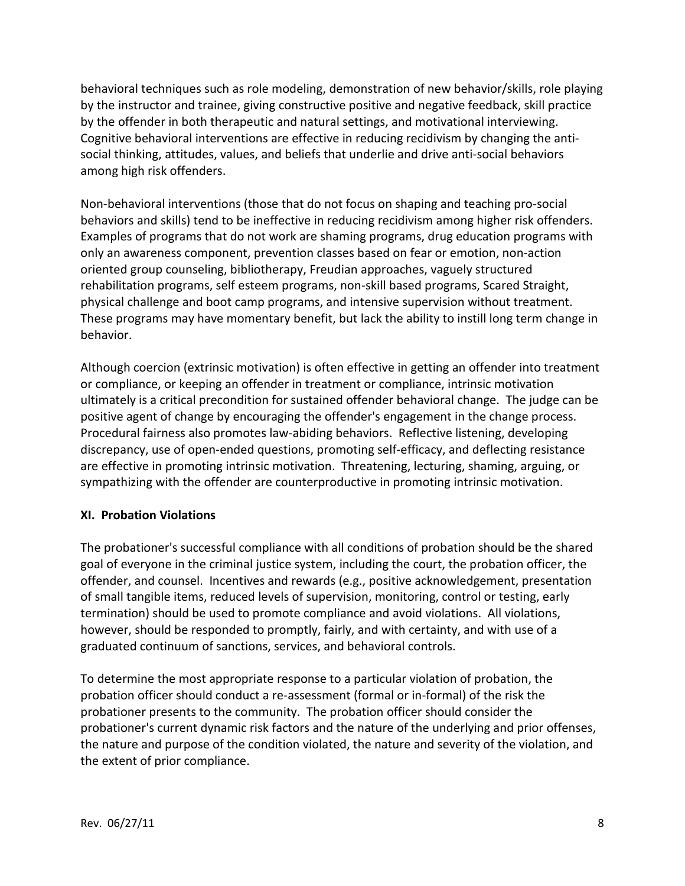behavioral techniques such as role modeling, demonstration of new behavior/skills, role playing by the instructor and trainee, giving constructive positive and negative feedback, skill practice by the offender in both therapeutic and natural settings, and motivational interviewing. Cognitive behavioral interventions are effective in reducing recidivism by changing the antisocial thinking, attitudes, values, and beliefs that underlie and drive anti-social behaviors among high risk offenders.

Non-behavioral interventions (those that do not focus on shaping and teaching pro-social behaviors and skills) tend to be ineffective in reducing recidivism among higher risk offenders. Examples of programs that do not work are shaming programs, drug education programs with only an awareness component, prevention classes based on fear or emotion, non-action oriented group counseling, bibliotherapy, Freudian approaches, vaguely structured rehabilitation programs, self esteem programs, non-skill based programs, Scared Straight, physical challenge and boot camp programs, and intensive supervision without treatment. These programs may have momentary benefit, but lack the ability to instill long term change in behavior.

Although coercion (extrinsic motivation) is often effective in getting an offender into treatment or compliance, or keeping an offender in treatment or compliance, intrinsic motivation ultimately is a critical precondition for sustained offender behavioral change. The judge can be positive agent of change by encouraging the offender's engagement in the change process. Procedural fairness also promotes law-abiding behaviors. Reflective listening, developing discrepancy, use of open-ended questions, promoting self-efficacy, and deflecting resistance are effective in promoting intrinsic motivation. Threatening, lecturing, shaming, arguing, or sympathizing with the offender are counterproductive in promoting intrinsic motivation.

## **XI. Probation Violations**

The probationer's successful compliance with all conditions of probation should be the shared goal of everyone in the criminal justice system, including the court, the probation officer, the offender, and counsel. Incentives and rewards (e.g., positive acknowledgement, presentation of small tangible items, reduced levels of supervision, monitoring, control or testing, early termination) should be used to promote compliance and avoid violations. All violations, however, should be responded to promptly, fairly, and with certainty, and with use of a graduated continuum of sanctions, services, and behavioral controls.

To determine the most appropriate response to a particular violation of probation, the probation officer should conduct a re-assessment (formal or in-formal) of the risk the probationer presents to the community. The probation officer should consider the probationer's current dynamic risk factors and the nature of the underlying and prior offenses, the nature and purpose of the condition violated, the nature and severity of the violation, and the extent of prior compliance.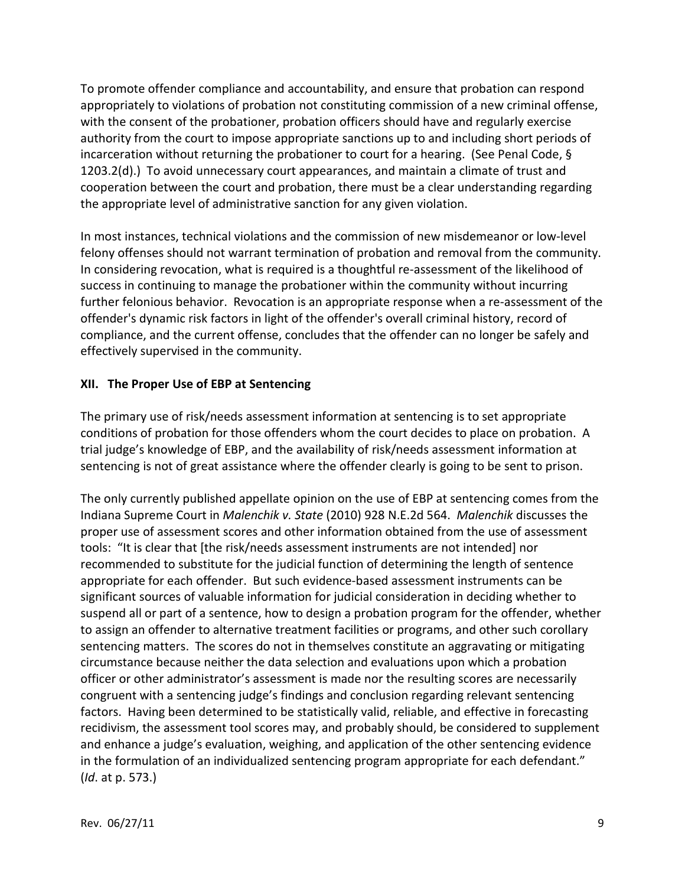To promote offender compliance and accountability, and ensure that probation can respond appropriately to violations of probation not constituting commission of a new criminal offense, with the consent of the probationer, probation officers should have and regularly exercise authority from the court to impose appropriate sanctions up to and including short periods of incarceration without returning the probationer to court for a hearing. (See Penal Code, § 1203.2(d).) To avoid unnecessary court appearances, and maintain a climate of trust and cooperation between the court and probation, there must be a clear understanding regarding the appropriate level of administrative sanction for any given violation.

In most instances, technical violations and the commission of new misdemeanor or low-level felony offenses should not warrant termination of probation and removal from the community. In considering revocation, what is required is a thoughtful re-assessment of the likelihood of success in continuing to manage the probationer within the community without incurring further felonious behavior. Revocation is an appropriate response when a re-assessment of the offender's dynamic risk factors in light of the offender's overall criminal history, record of compliance, and the current offense, concludes that the offender can no longer be safely and effectively supervised in the community.

#### **XII. The Proper Use of EBP at Sentencing**

The primary use of risk/needs assessment information at sentencing is to set appropriate conditions of probation for those offenders whom the court decides to place on probation. A trial judge's knowledge of EBP, and the availability of risk/needs assessment information at sentencing is not of great assistance where the offender clearly is going to be sent to prison.

The only currently published appellate opinion on the use of EBP at sentencing comes from the Indiana Supreme Court in *Malenchik v. State* (2010) 928 N.E.2d 564. *Malenchik* discusses the proper use of assessment scores and other information obtained from the use of assessment tools: "It is clear that [the risk/needs assessment instruments are not intended] nor recommended to substitute for the judicial function of determining the length of sentence appropriate for each offender. But such evidence-based assessment instruments can be significant sources of valuable information for judicial consideration in deciding whether to suspend all or part of a sentence, how to design a probation program for the offender, whether to assign an offender to alternative treatment facilities or programs, and other such corollary sentencing matters. The scores do not in themselves constitute an aggravating or mitigating circumstance because neither the data selection and evaluations upon which a probation officer or other administrator's assessment is made nor the resulting scores are necessarily congruent with a sentencing judge's findings and conclusion regarding relevant sentencing factors. Having been determined to be statistically valid, reliable, and effective in forecasting recidivism, the assessment tool scores may, and probably should, be considered to supplement and enhance a judge's evaluation, weighing, and application of the other sentencing evidence in the formulation of an individualized sentencing program appropriate for each defendant." (*Id*. at p. 573.)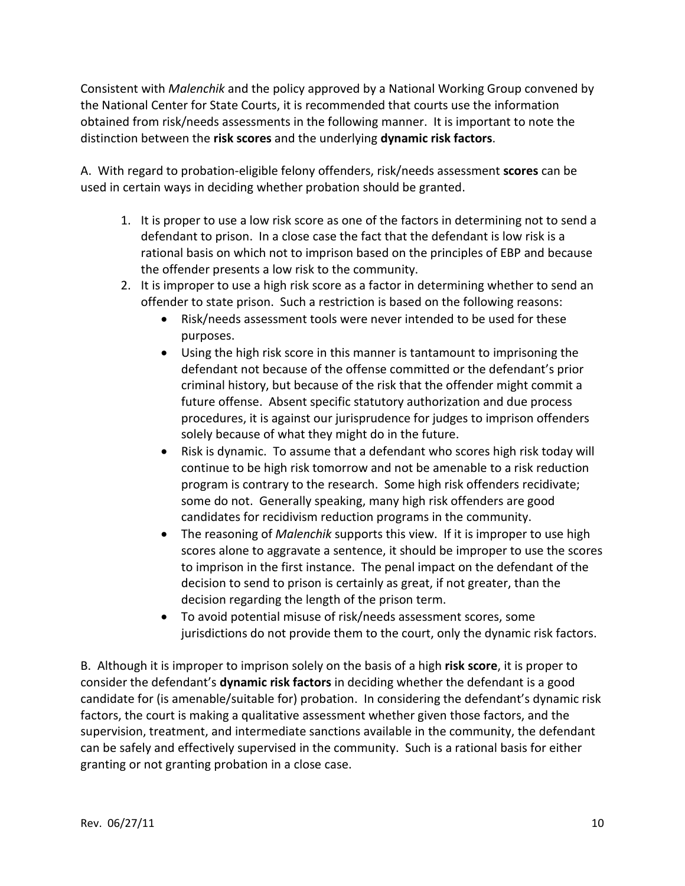Consistent with *Malenchik* and the policy approved by a National Working Group convened by the National Center for State Courts, it is recommended that courts use the information obtained from risk/needs assessments in the following manner. It is important to note the distinction between the **risk scores** and the underlying **dynamic risk factors**.

A. With regard to probation-eligible felony offenders, risk/needs assessment **scores** can be used in certain ways in deciding whether probation should be granted.

- 1. It is proper to use a low risk score as one of the factors in determining not to send a defendant to prison. In a close case the fact that the defendant is low risk is a rational basis on which not to imprison based on the principles of EBP and because the offender presents a low risk to the community.
- 2. It is improper to use a high risk score as a factor in determining whether to send an offender to state prison. Such a restriction is based on the following reasons:
	- Risk/needs assessment tools were never intended to be used for these purposes.
	- Using the high risk score in this manner is tantamount to imprisoning the defendant not because of the offense committed or the defendant's prior criminal history, but because of the risk that the offender might commit a future offense. Absent specific statutory authorization and due process procedures, it is against our jurisprudence for judges to imprison offenders solely because of what they might do in the future.
	- Risk is dynamic. To assume that a defendant who scores high risk today will continue to be high risk tomorrow and not be amenable to a risk reduction program is contrary to the research. Some high risk offenders recidivate; some do not. Generally speaking, many high risk offenders are good candidates for recidivism reduction programs in the community.
	- The reasoning of *Malenchik* supports this view. If it is improper to use high scores alone to aggravate a sentence, it should be improper to use the scores to imprison in the first instance. The penal impact on the defendant of the decision to send to prison is certainly as great, if not greater, than the decision regarding the length of the prison term.
	- To avoid potential misuse of risk/needs assessment scores, some jurisdictions do not provide them to the court, only the dynamic risk factors.

B. Although it is improper to imprison solely on the basis of a high **risk score**, it is proper to consider the defendant's **dynamic risk factors** in deciding whether the defendant is a good candidate for (is amenable/suitable for) probation. In considering the defendant's dynamic risk factors, the court is making a qualitative assessment whether given those factors, and the supervision, treatment, and intermediate sanctions available in the community, the defendant can be safely and effectively supervised in the community. Such is a rational basis for either granting or not granting probation in a close case.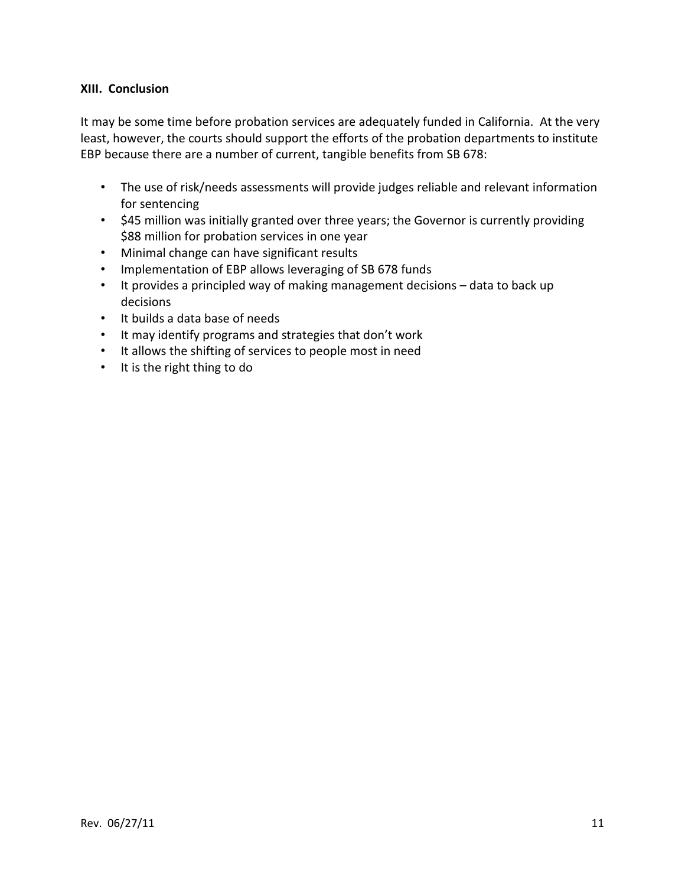#### **XIII. Conclusion**

It may be some time before probation services are adequately funded in California. At the very least, however, the courts should support the efforts of the probation departments to institute EBP because there are a number of current, tangible benefits from SB 678:

- The use of risk/needs assessments will provide judges reliable and relevant information for sentencing
- \$45 million was initially granted over three years; the Governor is currently providing \$88 million for probation services in one year
- Minimal change can have significant results
- Implementation of EBP allows leveraging of SB 678 funds
- It provides a principled way of making management decisions data to back up decisions
- It builds a data base of needs
- It may identify programs and strategies that don't work
- It allows the shifting of services to people most in need
- It is the right thing to do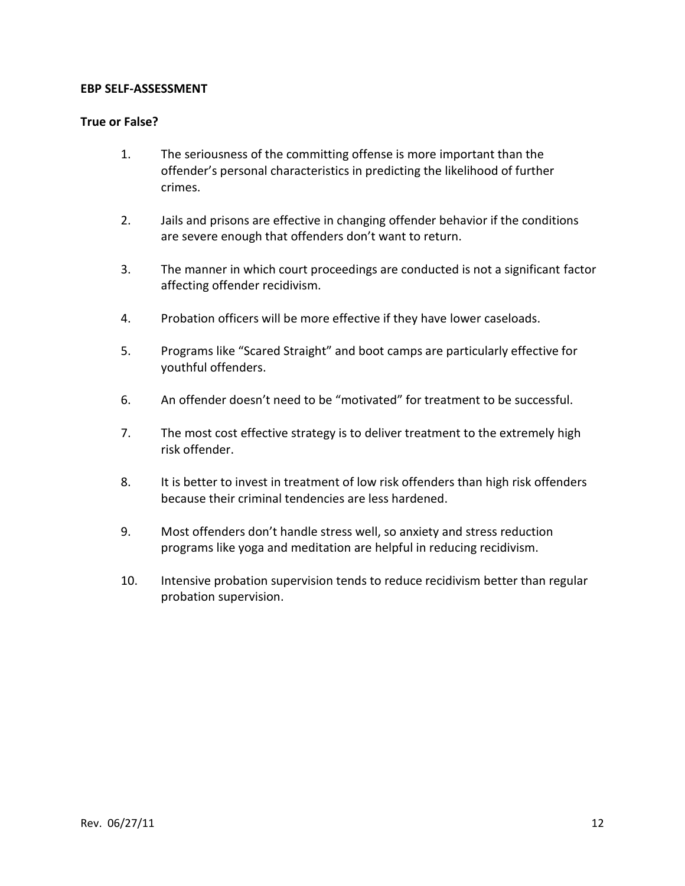#### **EBP SELF-ASSESSMENT**

#### **True or False?**

- 1. The seriousness of the committing offense is more important than the offender's personal characteristics in predicting the likelihood of further crimes.
- 2. Jails and prisons are effective in changing offender behavior if the conditions are severe enough that offenders don't want to return.
- 3. The manner in which court proceedings are conducted is not a significant factor affecting offender recidivism.
- 4. Probation officers will be more effective if they have lower caseloads.
- 5. Programs like "Scared Straight" and boot camps are particularly effective for youthful offenders.
- 6. An offender doesn't need to be "motivated" for treatment to be successful.
- 7. The most cost effective strategy is to deliver treatment to the extremely high risk offender.
- 8. It is better to invest in treatment of low risk offenders than high risk offenders because their criminal tendencies are less hardened.
- 9. Most offenders don't handle stress well, so anxiety and stress reduction programs like yoga and meditation are helpful in reducing recidivism.
- 10. Intensive probation supervision tends to reduce recidivism better than regular probation supervision.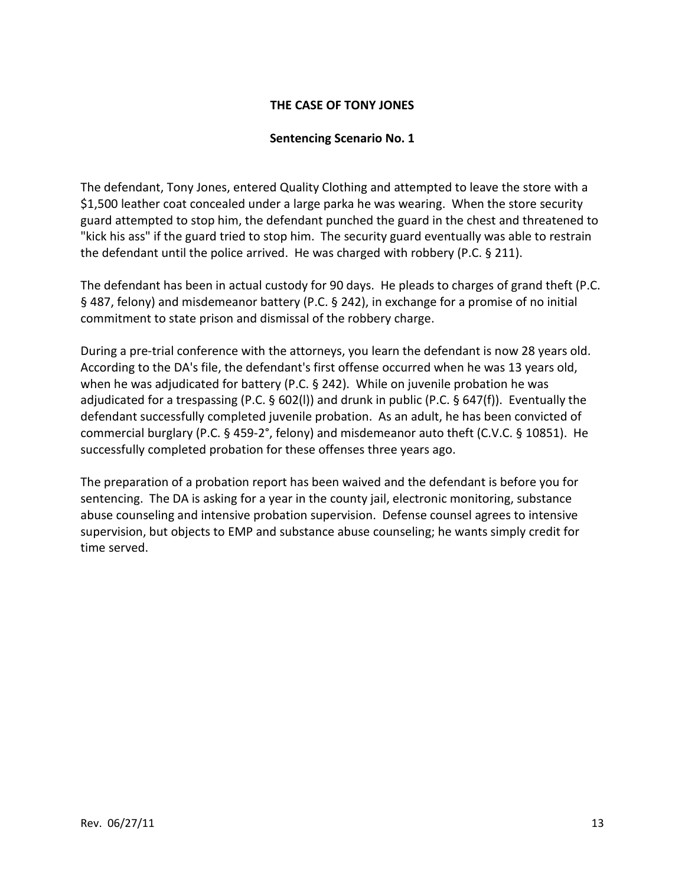#### **THE CASE OF TONY JONES**

#### **Sentencing Scenario No. 1**

The defendant, Tony Jones, entered Quality Clothing and attempted to leave the store with a \$1,500 leather coat concealed under a large parka he was wearing. When the store security guard attempted to stop him, the defendant punched the guard in the chest and threatened to "kick his ass" if the guard tried to stop him. The security guard eventually was able to restrain the defendant until the police arrived. He was charged with robbery (P.C. § 211).

The defendant has been in actual custody for 90 days. He pleads to charges of grand theft (P.C. § 487, felony) and misdemeanor battery (P.C. § 242), in exchange for a promise of no initial commitment to state prison and dismissal of the robbery charge.

During a pre-trial conference with the attorneys, you learn the defendant is now 28 years old. According to the DA's file, the defendant's first offense occurred when he was 13 years old, when he was adjudicated for battery (P.C. § 242). While on juvenile probation he was adjudicated for a trespassing (P.C. § 602(l)) and drunk in public (P.C. § 647(f)). Eventually the defendant successfully completed juvenile probation. As an adult, he has been convicted of commercial burglary (P.C. § 459-2°, felony) and misdemeanor auto theft (C.V.C. § 10851). He successfully completed probation for these offenses three years ago.

The preparation of a probation report has been waived and the defendant is before you for sentencing. The DA is asking for a year in the county jail, electronic monitoring, substance abuse counseling and intensive probation supervision. Defense counsel agrees to intensive supervision, but objects to EMP and substance abuse counseling; he wants simply credit for time served.